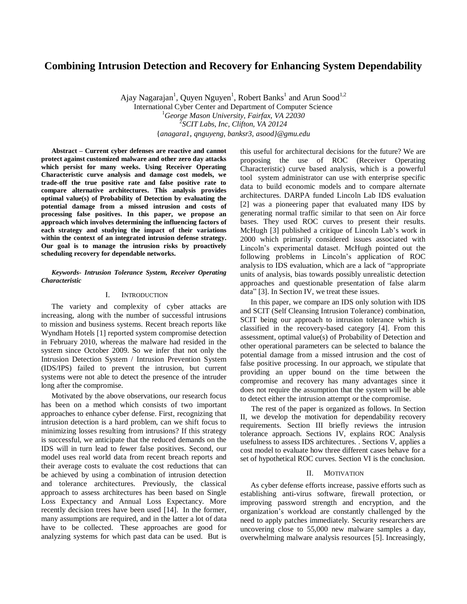# **Combining Intrusion Detection and Recovery for Enhancing System Dependability**

Ajay Nagarajan<sup>1</sup>, Quyen Nguyen<sup>1</sup>, Robert Banks<sup>1</sup> and Arun Sood<sup>1,2</sup> International Cyber Center and Department of Computer Science <sup>1</sup>*George Mason University, Fairfax, VA 22030* 2 *SCIT Labs, Inc, Clifton, VA 20124* {*anagara1, qnguyeng*, *banksr3, asood}@gmu.edu*

**Abstract – Current cyber defenses are reactive and cannot protect against customized malware and other zero day attacks which persist for many weeks. Using Receiver Operating Characteristic curve analysis and damage cost models, we trade-off the true positive rate and false positive rate to compare alternative architectures. This analysis provides optimal value(s) of Probability of Detection by evaluating the potential damage from a missed intrusion and costs of processing false positives. In this paper, we propose an approach which involves determining the influencing factors of each strategy and studying the impact of their variations within the context of an integrated intrusion defense strategy. Our goal is to manage the intrusion risks by proactively scheduling recovery for dependable networks.** 

### *Keywords- Intrusion Tolerance System, Receiver Operating Characteristic*

## I. INTRODUCTION

The variety and complexity of cyber attacks are increasing, along with the number of successful intrusions to mission and business systems. Recent breach reports like Wyndham Hotels [1] reported system compromise detection in February 2010, whereas the malware had resided in the system since October 2009. So we infer that not only the Intrusion Detection System / Intrusion Prevention System (IDS/IPS) failed to prevent the intrusion, but current systems were not able to detect the presence of the intruder long after the compromise.

Motivated by the above observations, our research focus has been on a method which consists of two important approaches to enhance cyber defense. First, recognizing that intrusion detection is a hard problem, can we shift focus to minimizing losses resulting from intrusions? If this strategy is successful, we anticipate that the reduced demands on the IDS will in turn lead to fewer false positives. Second, our model uses real world data from recent breach reports and their average costs to evaluate the cost reductions that can be achieved by using a combination of intrusion detection and tolerance architectures. Previously, the classical approach to assess architectures has been based on Single Loss Expectancy and Annual Loss Expectancy. More recently decision trees have been used [14]. In the former, many assumptions are required, and in the latter a lot of data have to be collected. These approaches are good for analyzing systems for which past data can be used. But is

this useful for architectural decisions for the future? We are proposing the use of ROC (Receiver Operating Characteristic) curve based analysis, which is a powerful tool system administrator can use with enterprise specific data to build economic models and to compare alternate architectures. DARPA funded Lincoln Lab IDS evaluation [2] was a pioneering paper that evaluated many IDS by generating normal traffic similar to that seen on Air force bases. They used ROC curves to present their results. McHugh [3] published a critique of Lincoln Lab"s work in 2000 which primarily considered issues associated with Lincoln"s experimental dataset. McHugh pointed out the following problems in Lincoln"s application of ROC analysis to IDS evaluation, which are a lack of "appropriate units of analysis, bias towards possibly unrealistic detection approaches and questionable presentation of false alarm data" [3]. In Section IV, we treat these issues.

In this paper, we compare an IDS only solution with IDS and SCIT (Self Cleansing Intrusion Tolerance) combination, SCIT being our approach to intrusion tolerance which is classified in the recovery-based category [4]. From this assessment, optimal value(s) of Probability of Detection and other operational parameters can be selected to balance the potential damage from a missed intrusion and the cost of false positive processing. In our approach, we stipulate that providing an upper bound on the time between the compromise and recovery has many advantages since it does not require the assumption that the system will be able to detect either the intrusion attempt or the compromise.

The rest of the paper is organized as follows. In Section II, we develop the motivation for dependability recovery requirements. Section III briefly reviews the intrusion tolerance approach. Sections IV, explains ROC Analysis usefulness to assess IDS architectures. . Sections V, applies a cost model to evaluate how three different cases behave for a set of hypothetical ROC curves. Section VI is the conclusion.

#### II. MOTIVATION

As cyber defense efforts increase, passive efforts such as establishing anti-virus software, firewall protection, or improving password strength and encryption, and the organization"s workload are constantly challenged by the need to apply patches immediately. Security researchers are uncovering close to 55,000 new malware samples a day, overwhelming malware analysis resources [5]. Increasingly,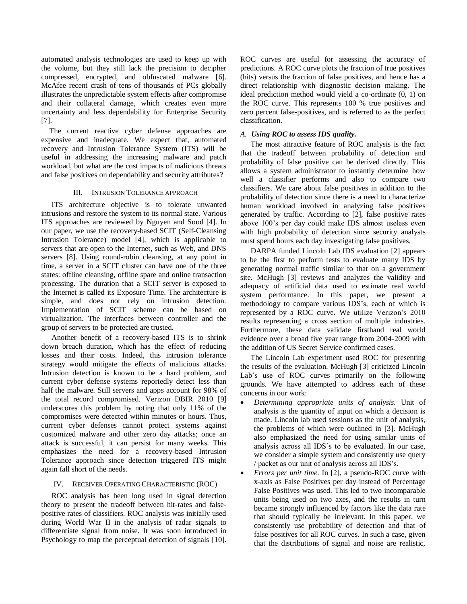automated analysis technologies are used to keep up with the volume, but they still lack the precision to decipher compressed, encrypted, and obfuscated malware [6]. McAfee recent crash of tens of thousands of PCs globally illustrates the unpredictable system effects after compromise and their collateral damage, which creates even more uncertainty and less dependability for Enterprise Security [7].

The current reactive cyber defense approaches are expensive and inadequate. We expect that, automated recovery and Intrusion Tolerance System (ITS) will be useful in addressing the increasing malware and patch workload, but what are the cost impacts of malicious threats and false positives on dependability and security attributes?

# III. INTRUSION TOLERANCE APPROACH

ITS architecture objective is to tolerate unwanted intrusions and restore the system to its normal state. Various ITS approaches are reviewed by Nguyen and Sood [4]. In our paper, we use the recovery-based SCIT (Self-Cleansing Intrusion Tolerance) model [4], which is applicable to servers that are open to the Internet, such as Web, and DNS servers [8]. Using round-robin cleansing, at any point in time, a server in a SCIT cluster can have one of the three states: offline cleansing, offline spare and online transaction processing. The duration that a SCIT server is exposed to the Internet is called its Exposure Time. The architecture is simple, and does not rely on intrusion detection. Implementation of SCIT scheme can be based on virtualization. The interfaces between controller and the group of servers to be protected are trusted.

Another benefit of a recovery-based ITS is to shrink down breach duration, which has the effect of reducing losses and their costs. Indeed, this intrusion tolerance strategy would mitigate the effects of malicious attacks. Intrusion detection is known to be a hard problem, and current cyber defense systems reportedly detect less than half the malware. Still servers and apps account for 98% of the total record compromised. Verizon DBIR 2010 [9] underscores this problem by noting that only 11% of the compromises were detected within minutes or hours. Thus, current cyber defenses cannot protect systems against customized malware and other zero day attacks; once an attack is successful, it can persist for many weeks. This emphasizes the need for a recovery-based Intrusion Tolerance approach since detection triggered ITS might again fall short of the needs.

# IV. RECEIVER OPERATING CHARACTERISTIC (ROC)

ROC analysis has been long used in signal detection theory to present the tradeoff between hit-rates and falsepositive rates of classifiers. ROC analysis was initially used during World War II in the analysis of radar signals to differentiate signal from noise. It was soon introduced in Psychology to map the perceptual detection of signals [10]. ROC curves are useful for assessing the accuracy of predictions. A ROC curve plots the fraction of true positives (hits) versus the fraction of false positives, and hence has a direct relationship with diagnostic decision making. The ideal prediction method would yield a co-ordinate (0, 1) on the ROC curve. This represents 100 % true positives and zero percent false-positives, and is referred to as the perfect classification.

# *A. Using ROC to assess IDS quality.*

The most attractive feature of ROC analysis is the fact that the tradeoff between probability of detection and probability of false positive can be derived directly. This allows a system administrator to instantly determine how well a classifier performs and also to compare two classifiers. We care about false positives in addition to the probability of detection since there is a need to characterize human workload involved in analyzing false positives generated by traffic. According to [2], false positive rates above 100"s per day could make IDS almost useless even with high probability of detection since security analysts must spend hours each day investigating false positives.

DARPA funded Lincoln Lab IDS evaluation [2] appears to be the first to perform tests to evaluate many IDS by generating normal traffic similar to that on a government site. McHugh [3] reviews and analyzes the validity and adequacy of artificial data used to estimate real world system performance. In this paper, we present a methodology to compare various IDS"s, each of which is represented by a ROC curve. We utilize Verizon"s 2010 results representing a cross section of multiple industries. Furthermore, these data validate firsthand real world evidence over a broad five year range from 2004-2009 with the addition of US Secret Service confirmed cases.

The Lincoln Lab experiment used ROC for presenting the results of the evaluation. McHugh [3] criticized Lincoln Lab's use of ROC curves primarily on the following grounds. We have attempted to address each of these concerns in our work:

- *Determining appropriate units of analysis.* Unit of analysis is the quantity of input on which a decision is made. Lincoln lab used sessions as the unit of analysis, the problems of which were outlined in [3]. McHugh also emphasized the need for using similar units of analysis across all IDS"s to be evaluated. In our case, we consider a simple system and consistently use query / packet as our unit of analysis across all IDS"s.
- *Errors per unit time*. In [2], a pseudo-ROC curve with x-axis as False Positives per day instead of Percentage False Positives was used. This led to two incomparable units being used on two axes, and the results in turn became strongly influenced by factors like the data rate that should typically be irrelevant. In this paper, we consistently use probability of detection and that of false positives for all ROC curves. In such a case, given that the distributions of signal and noise are realistic,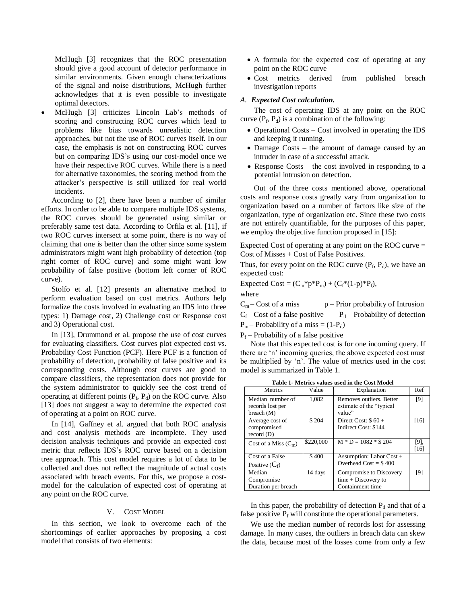McHugh [3] recognizes that the ROC presentation should give a good account of detector performance in similar environments. Given enough characterizations of the signal and noise distributions, McHugh further acknowledges that it is even possible to investigate optimal detectors.

 McHugh [3] criticizes Lincoln Lab"s methods of scoring and constructing ROC curves which lead to problems like bias towards unrealistic detection approaches, but not the use of ROC curves itself. In our case, the emphasis is not on constructing ROC curves but on comparing IDS"s using our cost-model once we have their respective ROC curves. While there is a need for alternative taxonomies, the scoring method from the attacker"s perspective is still utilized for real world incidents.

According to [2], there have been a number of similar efforts. In order to be able to compare multiple IDS systems, the ROC curves should be generated using similar or preferably same test data. According to Orfila et al. [11], if two ROC curves intersect at some point, there is no way of claiming that one is better than the other since some system administrators might want high probability of detection (top right corner of ROC curve) and some might want low probability of false positive (bottom left corner of ROC curve).

Stolfo et al. [12] presents an alternative method to perform evaluation based on cost metrics. Authors help formalize the costs involved in evaluating an IDS into three types: 1) Damage cost, 2) Challenge cost or Response cost and 3) Operational cost.

In [13], Drummond et al. propose the use of cost curves for evaluating classifiers. Cost curves plot expected cost vs. Probability Cost Function (PCF). Here PCF is a function of probability of detection, probability of false positive and its corresponding costs. Although cost curves are good to compare classifiers, the representation does not provide for the system administrator to quickly see the cost trend of operating at different points  $(P_f, P_d)$  on the ROC curve. Also [13] does not suggest a way to determine the expected cost of operating at a point on ROC curve.

In [14], Gaffney et al. argued that both ROC analysis and cost analysis methods are incomplete. They used decision analysis techniques and provide an expected cost metric that reflects IDS"s ROC curve based on a decision tree approach. This cost model requires a lot of data to be collected and does not reflect the magnitude of actual costs associated with breach events. For this, we propose a costmodel for the calculation of expected cost of operating at any point on the ROC curve.

#### V. COST MODEL

In this section, we look to overcome each of the shortcomings of earlier approaches by proposing a cost model that consists of two elements:

- A formula for the expected cost of operating at any point on the ROC curve
- Cost metrics derived from published breach investigation reports

## *A. Expected Cost calculation.*

The cost of operating IDS at any point on the ROC curve  $(P_f, P_d)$  is a combination of the following:

- Operational Costs Cost involved in operating the IDS and keeping it running.
- Damage Costs the amount of damage caused by an intruder in case of a successful attack.
- Response Costs the cost involved in responding to a potential intrusion on detection.

Out of the three costs mentioned above, operational costs and response costs greatly vary from organization to organization based on a number of factors like size of the organization, type of organization etc. Since these two costs are not entirely quantifiable, for the purposes of this paper, we employ the objective function proposed in [15]:

Expected Cost of operating at any point on the ROC curve = Cost of Misses + Cost of False Positives.

Thus, for every point on the ROC curve  $(P_f, P_d)$ , we have an expected cost:

Expected Cost =  $(C_m^* p^* P_m) + (C_f^*(1-p)^* P_f)$ ,

where

 $C_m$  – Cost of a miss p – Prior probability of Intrusion  $C_f$  – Cost of a false positive  $P_d$  – Probability of detection

 $P_m$  – Probability of a miss = (1- $P_d$ )

 $P_f$  – Probability of a false positive

Note that this expected cost is for one incoming query. If there are 'n' incoming queries, the above expected cost must be multiplied by 'n'. The value of metrics used in the cost model is summarized in Table 1.

**Table 1- Metrics values used in the Cost Model**

| Metrics                                              | Value     | Explanation                                                          | Ref            |  |  |  |  |  |
|------------------------------------------------------|-----------|----------------------------------------------------------------------|----------------|--|--|--|--|--|
| Median number of<br>records lost per<br>breach $(M)$ | 1,082     | Removes outliers. Better<br>estimate of the "typical"<br>value"      | [9]            |  |  |  |  |  |
| Average cost of<br>compromised<br>record(D)          | \$204     | Direct Cost: $$60 +$<br>Indirect Cost: \$144                         | [16]           |  |  |  |  |  |
| Cost of a Miss $(C_m)$                               | \$220,000 | $M * D = 1082 * $204$                                                | [9],<br>$[16]$ |  |  |  |  |  |
| Cost of a False<br>Positive $(C_f)$                  | \$400     | Assumption: Labor Cost +<br>Overhead $Cost = $400$                   |                |  |  |  |  |  |
| Median<br>Compromise<br>Duration per breach          | 14 days   | Compromise to Discovery<br>$time + Discovery to$<br>Containment time | [9]            |  |  |  |  |  |

In this paper, the probability of detection  $P_d$  and that of a false positive  $P_f$  will constitute the operational parameters.

We use the median number of records lost for assessing damage. In many cases, the outliers in breach data can skew the data, because most of the losses come from only a few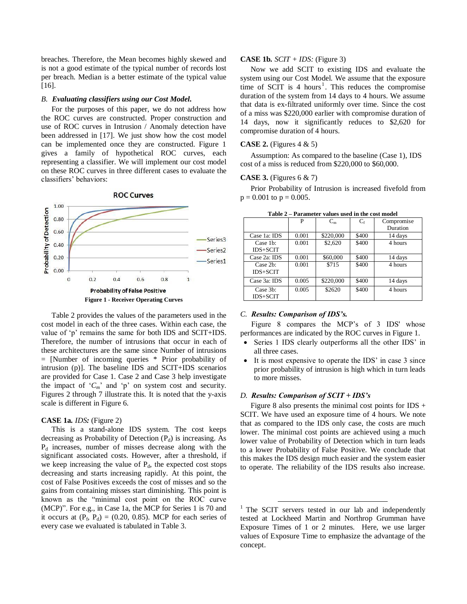breaches. Therefore, the Mean becomes highly skewed and is not a good estimate of the typical number of records lost per breach. Median is a better estimate of the typical value [16].

#### *B. Evaluating classifiers using our Cost Model.*

For the purposes of this paper, we do not address how the ROC curves are constructed. Proper construction and use of ROC curves in Intrusion / Anomaly detection have been addressed in [17]. We just show how the cost model can be implemented once they are constructed. Figure 1 gives a family of hypothetical ROC curves, each representing a classifier. We will implement our cost model on these ROC curves in three different cases to evaluate the classifiers" behaviors:



Table 2 provides the values of the parameters used in the cost model in each of the three cases. Within each case, the value of "p" remains the same for both IDS and SCIT+IDS. Therefore, the number of intrusions that occur in each of these architectures are the same since Number of intrusions = [Number of incoming queries \* Prior probability of intrusion (p)]. The baseline IDS and SCIT+IDS scenarios are provided for Case 1. Case 2 and Case 3 help investigate the impact of  ${}^{\circ}C_m$  and  ${}^{\circ}p$  on system cost and security. Figures 2 through 7 illustrate this. It is noted that the y-axis scale is different in Figure 6.

## **CASE 1a***. IDS:* (Figure 2)

This is a stand-alone IDS system. The cost keeps decreasing as Probability of Detection  $(P_d)$  is increasing. As  $P_d$  increases, number of misses decrease along with the significant associated costs. However, after a threshold, if we keep increasing the value of  $P_d$ , the expected cost stops decreasing and starts increasing rapidly. At this point, the cost of False Positives exceeds the cost of misses and so the gains from containing misses start diminishing. This point is known as the "minimal cost point on the ROC curve (MCP)". For e.g., in Case 1a, the MCP for Series 1 is 70 and it occurs at  $(P_f, P_d) = (0.20, 0.85)$ . MCP for each series of every case we evaluated is tabulated in Table 3.

#### **CASE 1b***. SCIT + IDS:* (Figure 3)

Now we add SCIT to existing IDS and evaluate the system using our Cost Model. We assume that the exposure time of SCIT is  $4$  hours<sup>1</sup>. This reduces the compromise duration of the system from 14 days to 4 hours. We assume that data is ex-filtrated uniformly over time. Since the cost of a miss was \$220,000 earlier with compromise duration of 14 days, now it significantly reduces to \$2,620 for compromise duration of 4 hours.

#### **CASE 2.** (Figures 4 & 5)

Assumption: As compared to the baseline (Case 1), IDS cost of a miss is reduced from \$220,000 to \$60,000.

### **CASE 3.** (Figures 6 & 7)

Prior Probability of Intrusion is increased fivefold from  $p = 0.001$  to  $p = 0.005$ .

|                             | P     | $C_m$     | $C_{\rm f}$ | Compromise |  |
|-----------------------------|-------|-----------|-------------|------------|--|
|                             |       |           |             | Duration   |  |
| Case 1a: IDS                | 0.001 | \$220,000 | \$400       | 14 days    |  |
| Case 1b:<br><b>IDS+SCIT</b> | 0.001 | \$2,620   | \$400       | 4 hours    |  |
| Case 2a: IDS                | 0.001 | \$60,000  | \$400       | 14 days    |  |
| Case 2b:<br>IDS+SCIT        | 0.001 | \$715     | \$400       | 4 hours    |  |
| Case 3a: IDS                | 0.005 | \$220,000 | \$400       | 14 days    |  |
| Case 3b:<br>IDS+SCIT        | 0.005 | \$2620    | \$400       | 4 hours    |  |

**Table 2 – Parameter values used in the cost model**

#### *C. Results: Comparison of IDS's.*

Figure 8 compares the MCP's of 3 IDS' whose performances are indicated by the ROC curves in Figure 1.

- Series 1 IDS clearly outperforms all the other IDS' in all three cases.
- It is most expensive to operate the IDS" in case 3 since prior probability of intrusion is high which in turn leads to more misses.

# *D. Results: Comparison of SCIT + IDS's*

 $\overline{a}$ 

Figure 8 also presents the minimal cost points for IDS  $+$ SCIT. We have used an exposure time of 4 hours. We note that as compared to the IDS only case, the costs are much lower. The minimal cost points are achieved using a much lower value of Probability of Detection which in turn leads to a lower Probability of False Positive. We conclude that this makes the IDS design much easier and the system easier to operate. The reliability of the IDS results also increase.

<sup>&</sup>lt;sup>1</sup> The SCIT servers tested in our lab and independently tested at Lockheed Martin and Northrop Grumman have Exposure Times of 1 or 2 minutes. Here, we use larger values of Exposure Time to emphasize the advantage of the concept.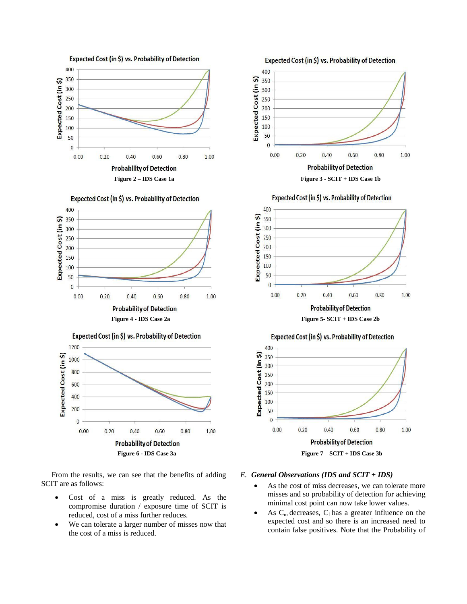





From the results, we can see that the benefits of adding SCIT are as follows:

- Cost of a miss is greatly reduced. As the compromise duration / exposure time of SCIT is reduced, cost of a miss further reduces.
- We can tolerate a larger number of misses now that the cost of a miss is reduced.



#### *E. General Observations (IDS and SCIT + IDS)*

- As the cost of miss decreases, we can tolerate more misses and so probability of detection for achieving minimal cost point can now take lower values.
- As  $C_m$  decreases,  $C_f$  has a greater influence on the expected cost and so there is an increased need to contain false positives. Note that the Probability of